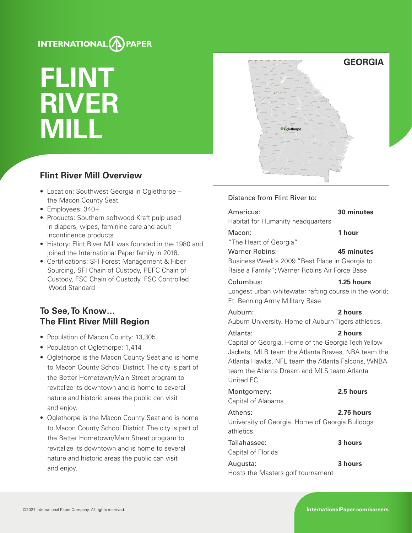# INTERNATIONAL<sup>(A)</sup>PAPER

# **FLINT RIVER MILL**

# **Flint River Mill Overview**

- Location: Southwest Georgia in Oglethorpe the Macon County Seat.
- Employees: 340+
- Products: Southern softwood Kraft pulp used in diapers, wipes, feminine care and adult incontinence products
- History: Flint River Mill was founded in the 1980 and joined the International Paper family in 2016.
- Certifications: SFI Forest Management & Fiber Sourcing, SFI Chain of Custody, PEFC Chain of Custody, FSC Chain of Custody, FSC Controlled Wood Standard

# **To See, To Know… The Flint River Mill Region**

- Population of Macon County: 13,305
- Population of Oglethorpe: 1,414
- Oglethorpe is the Macon County Seat and is home to Macon County School District. The city is part of the Better Hometown/Main Street program to revitalize its downtown and is home to several nature and historic areas the public can visit and enjoy.
- Oglethorpe is the Macon County Seat and is home to Macon County School District. The city is part of the Better Hometown/Main Street program to revitalize its downtown and is home to several nature and historic areas the public can visit and enjoy.



#### Distance from Flint River to:

| Americus:<br>Habitat for Humanity headquarters                                                                                                                                                                                          | 30 minutes |
|-----------------------------------------------------------------------------------------------------------------------------------------------------------------------------------------------------------------------------------------|------------|
| Macon:<br>"The Heart of Georgia"                                                                                                                                                                                                        | 1 hour     |
| <b>Warner Robins:</b><br>Business Week's 2009 "Best Place in Georgia to<br>Raise a Family"; Warner Robins Air Force Base                                                                                                                | 45 minutes |
| Columbus:<br>Longest urban whitewater rafting course in the world;<br>Ft. Benning Army Military Base                                                                                                                                    | 1.25 hours |
| Auburn:<br>Auburn University. Home of Auburn Tigers athletics.                                                                                                                                                                          | 2 hours    |
| Atlanta:<br>Capital of Georgia. Home of the Georgia Tech Yellow<br>Jackets, MLB team the Atlanta Braves, NBA team the<br>Atlanta Hawks, NFL team the Atlanta Falcons, WNBA<br>team the Atlanta Dream and MLS team Atlanta<br>United FC. | 2 hours    |
| Montgomery:<br>Capital of Alabama                                                                                                                                                                                                       | 2.5 hours  |
| Athens:<br>University of Georgia. Home of Georgia Bulldogs<br>athletics.                                                                                                                                                                | 2.75 hours |
| Tallahassee:<br>Capital of Florida                                                                                                                                                                                                      | 3 hours    |

Hosts the Masters golf tournament

Augusta: **3 hours**